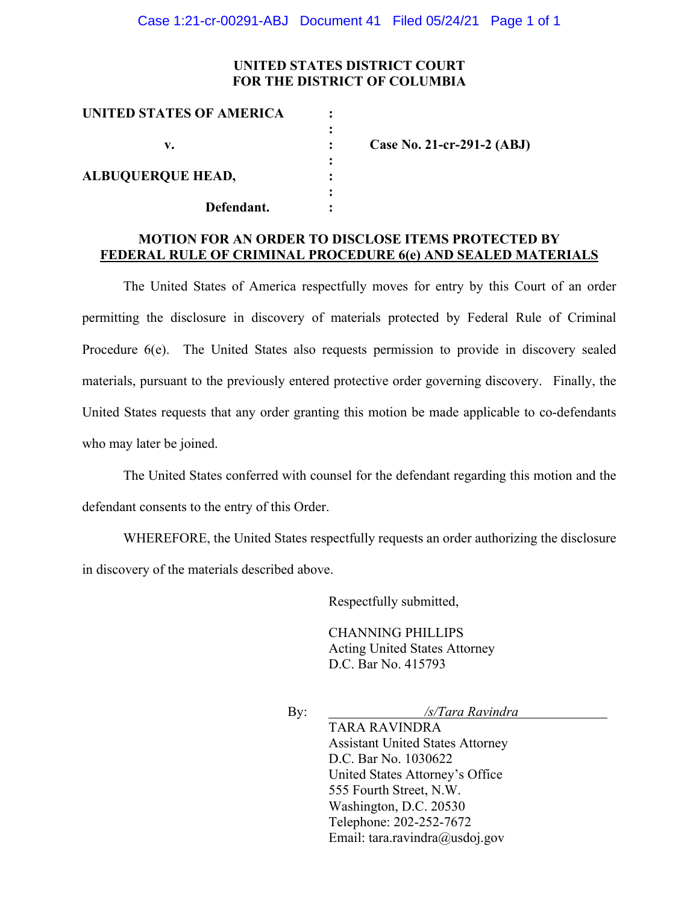## **UNITED STATES DISTRICT COURT FOR THE DISTRICT OF COLUMBIA**

| UNITED STATES OF AMERICA |                            |
|--------------------------|----------------------------|
|                          |                            |
| v.                       | Case No. 21-cr-291-2 (ABJ) |
|                          |                            |
| <b>ALBUQUERQUE HEAD,</b> |                            |
|                          |                            |
| Defendant.               |                            |

## **MOTION FOR AN ORDER TO DISCLOSE ITEMS PROTECTED BY FEDERAL RULE OF CRIMINAL PROCEDURE 6(e) AND SEALED MATERIALS**

The United States of America respectfully moves for entry by this Court of an order permitting the disclosure in discovery of materials protected by Federal Rule of Criminal Procedure 6(e). The United States also requests permission to provide in discovery sealed materials, pursuant to the previously entered protective order governing discovery. Finally, the United States requests that any order granting this motion be made applicable to co-defendants who may later be joined.

The United States conferred with counsel for the defendant regarding this motion and the defendant consents to the entry of this Order.

WHEREFORE, the United States respectfully requests an order authorizing the disclosure in discovery of the materials described above.

Respectfully submitted,

CHANNING PHILLIPS Acting United States Attorney D.C. Bar No. 415793

By: */s/Tara Ravindra* 

TARA RAVINDRA Assistant United States Attorney D.C. Bar No. 1030622 United States Attorney's Office 555 Fourth Street, N.W. Washington, D.C. 20530 Telephone: 202-252-7672 Email: tara.ravindra@usdoj.gov